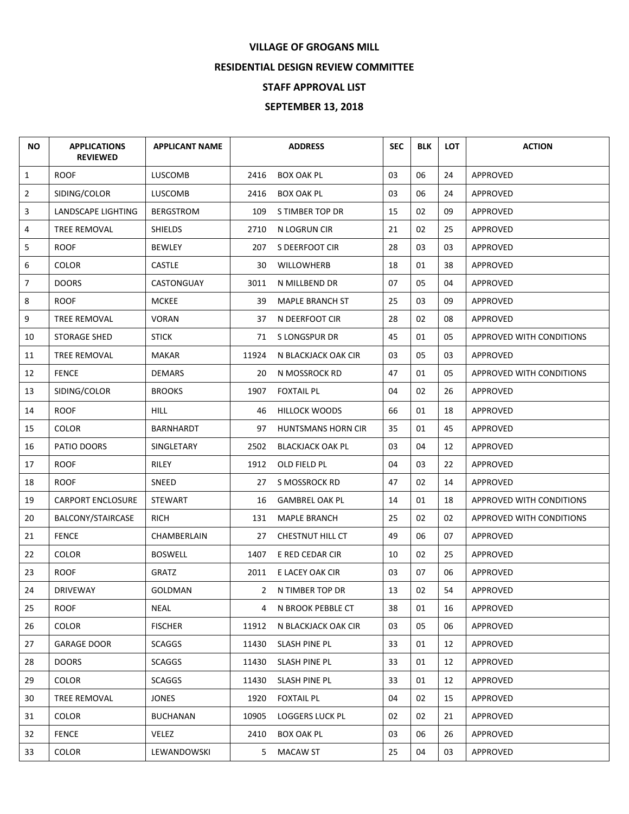## **VILLAGE OF GROGANS MILL**

## **RESIDENTIAL DESIGN REVIEW COMMITTEE**

## **STAFF APPROVAL LIST**

## **SEPTEMBER 13, 2018**

| <b>NO</b>      | <b>APPLICATIONS</b><br><b>REVIEWED</b> | <b>APPLICANT NAME</b> |              | <b>ADDRESS</b>            | <b>SEC</b> | <b>BLK</b> | <b>LOT</b> | <b>ACTION</b>            |
|----------------|----------------------------------------|-----------------------|--------------|---------------------------|------------|------------|------------|--------------------------|
| $\mathbf{1}$   | <b>ROOF</b>                            | <b>LUSCOMB</b>        | 2416         | <b>BOX OAK PL</b>         | 03         | 06         | 24         | <b>APPROVED</b>          |
| $\overline{2}$ | SIDING/COLOR                           | LUSCOMB               | 2416         | <b>BOX OAK PL</b>         | 03         | 06         | 24         | <b>APPROVED</b>          |
| 3              | LANDSCAPE LIGHTING                     | <b>BERGSTROM</b>      | 109          | S TIMBER TOP DR           | 15         | 02         | 09         | <b>APPROVED</b>          |
| 4              | TREE REMOVAL                           | <b>SHIELDS</b>        | 2710         | N LOGRUN CIR              | 21         | 02         | 25         | <b>APPROVED</b>          |
| 5              | <b>ROOF</b>                            | <b>BEWLEY</b>         | 207          | S DEERFOOT CIR            | 28         | 03         | 03         | APPROVED                 |
| 6              | <b>COLOR</b>                           | <b>CASTLE</b>         | 30           | WILLOWHERB                | 18         | 01         | 38         | APPROVED                 |
| $\overline{7}$ | <b>DOORS</b>                           | CASTONGUAY            | 3011         | N MILLBEND DR             | 07         | 05         | 04         | <b>APPROVED</b>          |
| 8              | <b>ROOF</b>                            | <b>MCKEE</b>          | 39           | <b>MAPLE BRANCH ST</b>    | 25         | 03         | 09         | <b>APPROVED</b>          |
| 9              | <b>TREE REMOVAL</b>                    | <b>VORAN</b>          | 37           | N DEERFOOT CIR            | 28         | 02         | 08         | APPROVED                 |
| 10             | <b>STORAGE SHED</b>                    | <b>STICK</b>          | 71           | S LONGSPUR DR             | 45         | 01         | 05         | APPROVED WITH CONDITIONS |
| 11             | <b>TREE REMOVAL</b>                    | MAKAR                 | 11924        | N BLACKJACK OAK CIR       | 03         | 05         | 03         | <b>APPROVED</b>          |
| 12             | <b>FENCE</b>                           | <b>DEMARS</b>         | 20           | N MOSSROCK RD             | 47         | 01         | 05         | APPROVED WITH CONDITIONS |
| 13             | SIDING/COLOR                           | <b>BROOKS</b>         | 1907         | <b>FOXTAIL PL</b>         | 04         | 02         | 26         | <b>APPROVED</b>          |
| 14             | <b>ROOF</b>                            | <b>HILL</b>           | 46           | <b>HILLOCK WOODS</b>      | 66         | 01         | 18         | APPROVED                 |
| 15             | <b>COLOR</b>                           | BARNHARDT             | 97           | <b>HUNTSMANS HORN CIR</b> | 35         | 01         | 45         | APPROVED                 |
| 16             | PATIO DOORS                            | SINGLETARY            | 2502         | <b>BLACKJACK OAK PL</b>   | 03         | 04         | 12         | <b>APPROVED</b>          |
| 17             | <b>ROOF</b>                            | RILEY                 | 1912         | OLD FIELD PL              | 04         | 03         | 22         | <b>APPROVED</b>          |
| 18             | <b>ROOF</b>                            | SNEED                 | 27           | S MOSSROCK RD             | 47         | 02         | 14         | <b>APPROVED</b>          |
| 19             | <b>CARPORT ENCLOSURE</b>               | <b>STEWART</b>        | 16           | <b>GAMBREL OAK PL</b>     | 14         | 01         | 18         | APPROVED WITH CONDITIONS |
| 20             | BALCONY/STAIRCASE                      | RICH                  | 131          | <b>MAPLE BRANCH</b>       | 25         | 02         | 02         | APPROVED WITH CONDITIONS |
| 21             | <b>FENCE</b>                           | CHAMBERLAIN           | 27           | CHESTNUT HILL CT          | 49         | 06         | 07         | APPROVED                 |
| 22             | <b>COLOR</b>                           | <b>BOSWELL</b>        | 1407         | E RED CEDAR CIR           | 10         | 02         | 25         | <b>APPROVED</b>          |
| 23             | <b>ROOF</b>                            | <b>GRATZ</b>          | 2011         | E LACEY OAK CIR           | 03         | 07         | 06         | <b>APPROVED</b>          |
| 24             | <b>DRIVEWAY</b>                        | <b>GOLDMAN</b>        | $\mathbf{2}$ | N TIMBER TOP DR           | 13         | 02         | 54         | APPROVED                 |
| 25             | <b>ROOF</b>                            | NEAL                  | 4            | N BROOK PEBBLE CT         | 38         | 01         | 16         | <b>APPROVED</b>          |
| 26             | <b>COLOR</b>                           | <b>FISCHER</b>        | 11912        | N BLACKJACK OAK CIR       | 03         | 05         | 06         | APPROVED                 |
| 27             | <b>GARAGE DOOR</b>                     | <b>SCAGGS</b>         | 11430        | SLASH PINE PL             | 33         | 01         | 12         | APPROVED                 |
| 28             | <b>DOORS</b>                           | <b>SCAGGS</b>         | 11430        | SLASH PINE PL             | 33         | 01         | 12         | APPROVED                 |
| 29             | <b>COLOR</b>                           | <b>SCAGGS</b>         | 11430        | SLASH PINE PL             | 33         | 01         | 12         | APPROVED                 |
| 30             | TREE REMOVAL                           | JONES                 | 1920         | <b>FOXTAIL PL</b>         | 04         | 02         | 15         | APPROVED                 |
| 31             | <b>COLOR</b>                           | <b>BUCHANAN</b>       | 10905        | LOGGERS LUCK PL           | 02         | 02         | 21         | APPROVED                 |
| 32             | <b>FENCE</b>                           | Velez                 | 2410         | BOX OAK PL                | 03         | 06         | 26         | APPROVED                 |
| 33             | <b>COLOR</b>                           | LEWANDOWSKI           | 5            | <b>MACAW ST</b>           | 25         | 04         | 03         | APPROVED                 |